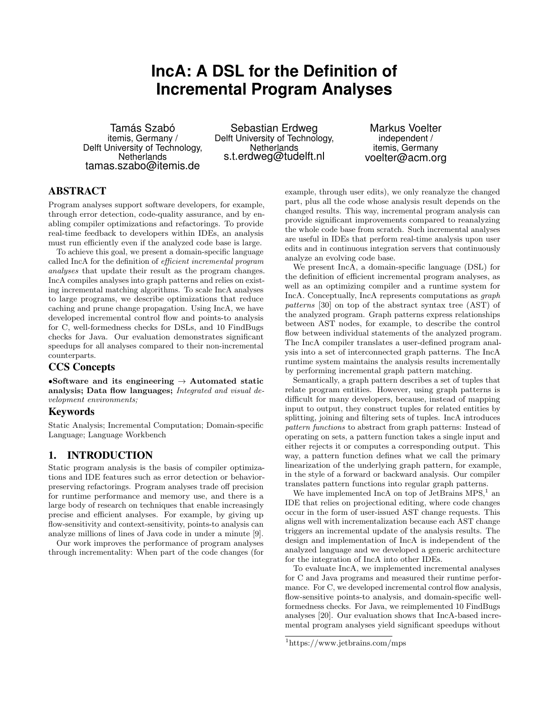# **IncA: A DSL for the Definition of Incremental Program Analyses**

Tamás Szabó itemis, Germany / Delft University of Technology, **Netherlands** tamas.szabo@itemis.de

Sebastian Erdweg Delft University of Technology, Netherlands s.t.erdweg@tudelft.nl

Markus Voelter independent / itemis, Germany voelter@acm.org

# ABSTRACT

Program analyses support software developers, for example, through error detection, code-quality assurance, and by enabling compiler optimizations and refactorings. To provide real-time feedback to developers within IDEs, an analysis must run efficiently even if the analyzed code base is large.

To achieve this goal, we present a domain-specific language called IncA for the definition of efficient incremental program analyses that update their result as the program changes. IncA compiles analyses into graph patterns and relies on existing incremental matching algorithms. To scale IncA analyses to large programs, we describe optimizations that reduce caching and prune change propagation. Using IncA, we have developed incremental control flow and points-to analysis for C, well-formedness checks for DSLs, and 10 FindBugs checks for Java. Our evaluation demonstrates significant speedups for all analyses compared to their non-incremental counterparts.

## CCS Concepts

•Software and its engineering  $\rightarrow$  Automated static analysis; Data flow languages; Integrated and visual development environments;

# Keywords

Static Analysis; Incremental Computation; Domain-specific Language; Language Workbench

# 1. INTRODUCTION

Static program analysis is the basis of compiler optimizations and IDE features such as error detection or behaviorpreserving refactorings. Program analyses trade off precision for runtime performance and memory use, and there is a large body of research on techniques that enable increasingly precise and efficient analyses. For example, by giving up flow-sensitivity and context-sensitivity, points-to analysis can analyze millions of lines of Java code in under a minute [\[9\]](#page-10-0).

Our work improves the performance of program analyses through incrementality: When part of the code changes (for example, through user edits), we only reanalyze the changed part, plus all the code whose analysis result depends on the changed results. This way, incremental program analysis can provide significant improvements compared to reanalyzing the whole code base from scratch. Such incremental analyses are useful in IDEs that perform real-time analysis upon user edits and in continuous integration servers that continuously analyze an evolving code base.

We present IncA, a domain-specific language (DSL) for the definition of efficient incremental program analyses, as well as an optimizing compiler and a runtime system for IncA. Conceptually, IncA represents computations as graph patterns [\[30\]](#page-11-0) on top of the abstract syntax tree (AST) of the analyzed program. Graph patterns express relationships between AST nodes, for example, to describe the control flow between individual statements of the analyzed program. The IncA compiler translates a user-defined program analysis into a set of interconnected graph patterns. The IncA runtime system maintains the analysis results incrementally by performing incremental graph pattern matching.

Semantically, a graph pattern describes a set of tuples that relate program entities. However, using graph patterns is difficult for many developers, because, instead of mapping input to output, they construct tuples for related entities by splitting, joining and filtering sets of tuples. IncA introduces pattern functions to abstract from graph patterns: Instead of operating on sets, a pattern function takes a single input and either rejects it or computes a corresponding output. This way, a pattern function defines what we call the primary linearization of the underlying graph pattern, for example, in the style of a forward or backward analysis. Our compiler translates pattern functions into regular graph patterns.

We have implemented IncA on top of JetBrains  $MPS<sup>1</sup>$  $MPS<sup>1</sup>$  $MPS<sup>1</sup>$ , an IDE that relies on projectional editing, where code changes occur in the form of user-issued AST change requests. This aligns well with incrementalization because each AST change triggers an incremental update of the analysis results. The design and implementation of IncA is independent of the analyzed language and we developed a generic architecture for the integration of IncA into other IDEs.

To evaluate IncA, we implemented incremental analyses for C and Java programs and measured their runtime performance. For C, we developed incremental control flow analysis, flow-sensitive points-to analysis, and domain-specific wellformedness checks. For Java, we reimplemented 10 FindBugs analyses [\[20\]](#page-10-1). Our evaluation shows that IncA-based incremental program analyses yield significant speedups without

<span id="page-0-0"></span> $1$ <https://www.jetbrains.com/mps>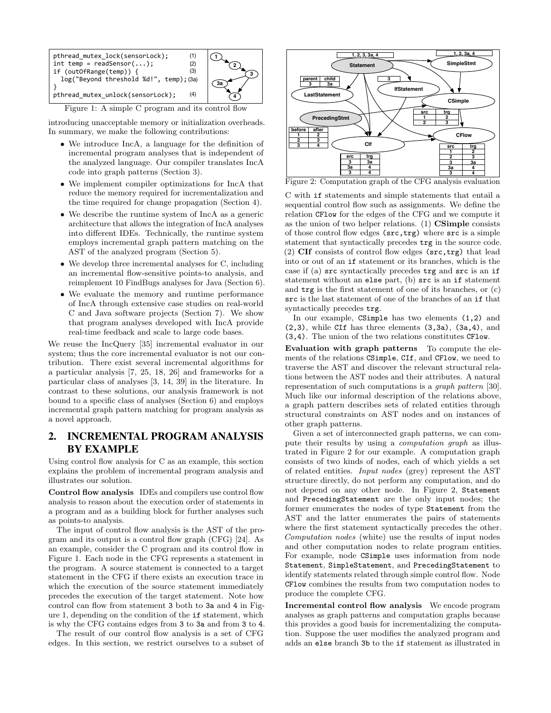<span id="page-1-0"></span>

Figure 1: A simple C program and its control flow

introducing unacceptable memory or initialization overheads. In summary, we make the following contributions:

- We introduce IncA, a language for the definition of incremental program analyses that is independent of the analyzed language. Our compiler translates IncA code into graph patterns [\(Section 3\)](#page-3-0).
- We implement compiler optimizations for IncA that reduce the memory required for incrementalization and the time required for change propagation [\(Section 4\)](#page-4-0).
- We describe the runtime system of IncA as a generic architecture that allows the integration of IncA analyses into different IDEs. Technically, the runtime system employs incremental graph pattern matching on the AST of the analyzed program [\(Section 5\)](#page-5-0).
- We develop three incremental analyses for C, including an incremental flow-sensitive points-to analysis, and reimplement 10 FindBugs analyses for Java [\(Section 6\)](#page-5-1).
- We evaluate the memory and runtime performance of IncA through extensive case studies on real-world C and Java software projects [\(Section 7\)](#page-7-0). We show that program analyses developed with IncA provide real-time feedback and scale to large code bases.

We reuse the IncQuery [\[35\]](#page-11-1) incremental evaluator in our system; thus the core incremental evaluator is not our contribution. There exist several incremental algorithms for a particular analysis [\[7,](#page-10-2) [25,](#page-10-3) [18,](#page-10-4) [26\]](#page-11-2) and frameworks for a particular class of analyses [\[3,](#page-10-5) [14,](#page-10-6) [39\]](#page-11-3) in the literature. In contrast to these solutions, our analysis framework is not bound to a specific class of analyses [\(Section 6\)](#page-5-1) and employs incremental graph pattern matching for program analysis as a novel approach.

# <span id="page-1-2"></span>2. INCREMENTAL PROGRAM ANALYSIS BY EXAMPLE

Using control flow analysis for C as an example, this section explains the problem of incremental program analysis and illustrates our solution.

Control flow analysis IDEs and compilers use control flow analysis to reason about the execution order of statements in a program and as a building block for further analyses such as points-to analysis.

The input of control flow analysis is the AST of the program and its output is a control flow graph (CFG) [\[24\]](#page-10-7). As an example, consider the C program and its control flow in [Figure 1.](#page-1-0) Each node in the CFG represents a statement in the program. A source statement is connected to a target statement in the CFG if there exists an execution trace in which the execution of the source statement immediately precedes the execution of the target statement. Note how control can flow from statement 3 both to 3a and 4 in [Fig](#page-1-0)[ure 1,](#page-1-0) depending on the condition of the if statement, which is why the CFG contains edges from 3 to 3a and from 3 to 4.

The result of our control flow analysis is a set of CFG edges. In this section, we restrict ourselves to a subset of

<span id="page-1-1"></span>

Figure 2: Computation graph of the CFG analysis evaluation

C with if statements and simple statements that entail a sequential control flow such as assignments. We define the relation CFlow for the edges of the CFG and we compute it as the union of two helper relations. (1) CSimple consists of those control flow edges (src,trg) where src is a simple statement that syntactically precedes trg in the source code. (2) CIf consists of control flow edges (src,trg) that lead into or out of an if statement or its branches, which is the case if (a) src syntactically precedes trg and src is an if statement without an else part, (b) src is an if statement and trg is the first statement of one of its branches, or (c) src is the last statement of one of the branches of an if that syntactically precedes trg.

In our example, CSimple has two elements (1,2) and  $(2,3)$ , while CIf has three elements  $(3,3a)$ ,  $(3a,4)$ , and (3,4). The union of the two relations constitutes CFlow.

Evaluation with graph patterns To compute the elements of the relations CSimple, CIf, and CFlow, we need to traverse the AST and discover the relevant structural relations between the AST nodes and their attributes. A natural representation of such computations is a graph pattern [\[30\]](#page-11-0). Much like our informal description of the relations above, a graph pattern describes sets of related entities through structural constraints on AST nodes and on instances of other graph patterns.

Given a set of interconnected graph patterns, we can compute their results by using a computation graph as illustrated in [Figure 2](#page-1-1) for our example. A computation graph consists of two kinds of nodes, each of which yields a set of related entities. Input nodes (grey) represent the AST structure directly, do not perform any computation, and do not depend on any other node. In [Figure 2,](#page-1-1) Statement and PrecedingStatement are the only input nodes; the former enumerates the nodes of type Statement from the AST and the latter enumerates the pairs of statements where the first statement syntactically precedes the other. Computation nodes (white) use the results of input nodes and other computation nodes to relate program entities. For example, node CSimple uses information from node Statement, SimpleStatement, and PrecedingStatement to identify statements related through simple control flow. Node CFlow combines the results from two computation nodes to produce the complete CFG.

Incremental control flow analysis We encode program analyses as graph patterns and computation graphs because this provides a good basis for incrementalizing the computation. Suppose the user modifies the analyzed program and adds an else branch 3b to the if statement as illustrated in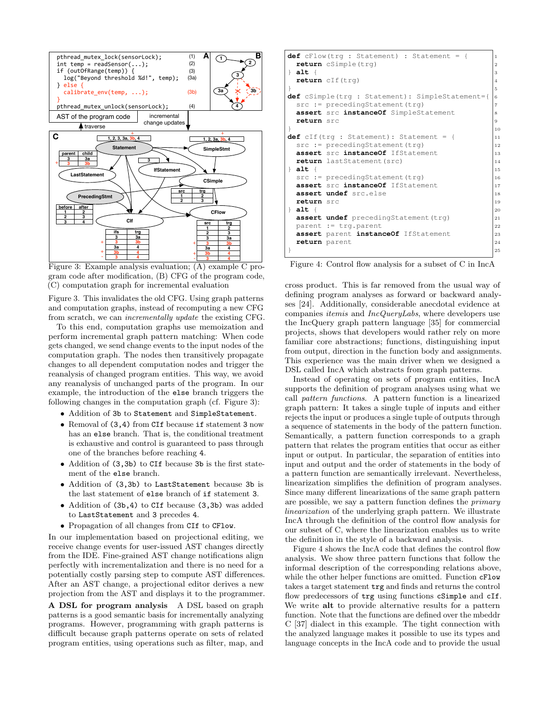<span id="page-2-0"></span>

Figure 3: Example analysis evaluation; (A) example C program code after modification, (B) CFG of the program code, (C) computation graph for incremental evaluation

[Figure 3.](#page-2-0) This invalidates the old CFG. Using graph patterns and computation graphs, instead of recomputing a new CFG from scratch, we can incrementally update the existing CFG.

To this end, computation graphs use memoization and perform incremental graph pattern matching: When code gets changed, we send change events to the input nodes of the computation graph. The nodes then transitively propagate changes to all dependent computation nodes and trigger the reanalysis of changed program entities. This way, we avoid any reanalysis of unchanged parts of the program. In our example, the introduction of the else branch triggers the following changes in the computation graph (cf. [Figure 3\)](#page-2-0):

• Addition of 3b to Statement and SimpleStatement.

- Removal of (3,4) from CIf because if statement 3 now has an else branch. That is, the conditional treatment is exhaustive and control is guaranteed to pass through one of the branches before reaching 4.
- Addition of (3.3b) to CIf because 3b is the first statement of the else branch.
- Addition of (3,3b) to LastStatement because 3b is the last statement of else branch of if statement 3.
- Addition of (3b,4) to CIf because (3,3b) was added to LastStatement and 3 precedes 4.
- Propagation of all changes from CIf to CFlow.

In our implementation based on projectional editing, we receive change events for user-issued AST changes directly from the IDE. Fine-grained AST change notifications align perfectly with incrementalization and there is no need for a potentially costly parsing step to compute AST differences. After an AST change, a projectional editor derives a new projection from the AST and displays it to the programmer.

A DSL for program analysis A DSL based on graph patterns is a good semantic basis for incrementally analyzing programs. However, programming with graph patterns is difficult because graph patterns operate on sets of related program entities, using operations such as filter, map, and

```
def cFlow(trg : Statement) : Statement = { 1
 return cSimple(trg) 2
} alt { |3return cIf(trg) 4
\vert 5
def cSimple(trg : Statement): SimpleStatement={ 6
 src := precedingStatement(trg)
 assert src instanceOf SimpleStatement
 return src 9
\} 10
def cIf(trg : Statement): Statement = { |11
 src := precedingStatement(trg) |12
 assert src instanceOf IfStatement \begin{array}{ccc} 13 \end{array}return lastStatement(src) |_{14}} alt { 15
 src := precedingStatement(trg) |16
 assert src instanceOf IfStatement |_{17}assert undef src.else 18
 return src 19
} alt { 20
 assert undef precedingStatement(trg) |21
 parent := trg.parent |22assert parent instanceOf IfStatement 23
 return parent 24
\} 25
```
Figure 4: Control flow analysis for a subset of C in IncA

cross product. This is far removed from the usual way of defining program analyses as forward or backward analyses [\[24\]](#page-10-7). Additionally, considerable anecdotal evidence at companies itemis and IncQueryLabs, where developers use the IncQuery graph pattern language [\[35\]](#page-11-1) for commercial projects, shows that developers would rather rely on more familiar core abstractions; functions, distinguishing input from output, direction in the function body and assignments. This experience was the main driver when we designed a DSL called IncA which abstracts from graph patterns.

Instead of operating on sets of program entities, IncA supports the definition of program analyses using what we call pattern functions. A pattern function is a linearized graph pattern: It takes a single tuple of inputs and either rejects the input or produces a single tuple of outputs through a sequence of statements in the body of the pattern function. Semantically, a pattern function corresponds to a graph pattern that relates the program entities that occur as either input or output. In particular, the separation of entities into input and output and the order of statements in the body of a pattern function are semantically irrelevant. Nevertheless, linearization simplifies the definition of program analyses. Since many different linearizations of the same graph pattern are possible, we say a pattern function defines the primary linearization of the underlying graph pattern. We illustrate IncA through the definition of the control flow analysis for our subset of C, where the linearization enables us to write the definition in the style of a backward analysis.

[Figure 4](#page-2-1) shows the IncA code that defines the control flow analysis. We show three pattern functions that follow the informal description of the corresponding relations above, while the other helper functions are omitted. Function  $cFlow$ takes a target statement trg and finds and returns the control flow predecessors of  $trg$  using functions cSimple and cIf. We write alt to provide alternative results for a pattern function. Note that the functions are defined over the mbeddr C [\[37\]](#page-11-4) dialect in this example. The tight connection with the analyzed language makes it possible to use its types and language concepts in the IncA code and to provide the usual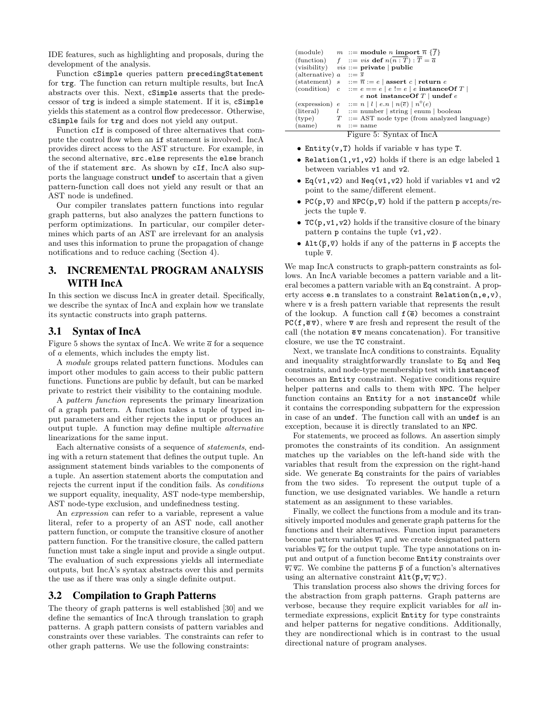IDE features, such as highlighting and proposals, during the development of the analysis.

Function cSimple queries pattern precedingStatement for trg. The function can return multiple results, but IncA abstracts over this. Next, cSimple asserts that the predecessor of trg is indeed a simple statement. If it is, cSimple yields this statement as a control flow predecessor. Otherwise, cSimple fails for trg and does not yield any output.

Function cIf is composed of three alternatives that compute the control flow when an if statement is involved. IncA provides direct access to the AST structure. For example, in the second alternative, src.else represents the else branch of the if statement src. As shown by cIf, IncA also supports the language construct undef to ascertain that a given pattern-function call does not yield any result or that an AST node is undefined.

Our compiler translates pattern functions into regular graph patterns, but also analyzes the pattern functions to perform optimizations. In particular, our compiler determines which parts of an AST are irrelevant for an analysis and uses this information to prune the propagation of change notifications and to reduce caching [\(Section 4\)](#page-4-0).

# <span id="page-3-0"></span>3. INCREMENTAL PROGRAM ANALYSIS WITH IncA

In this section we discuss IncA in greater detail. Specifically, we describe the syntax of IncA and explain how we translate its syntactic constructs into graph patterns.

## 3.1 Syntax of IncA

[Figure 5](#page-3-1) shows the syntax of IncA. We write  $\bar{a}$  for a sequence of a elements, which includes the empty list.

A module groups related pattern functions. Modules can import other modules to gain access to their public pattern functions. Functions are public by default, but can be marked private to restrict their visibility to the containing module.

A pattern function represents the primary linearization of a graph pattern. A function takes a tuple of typed input parameters and either rejects the input or produces an output tuple. A function may define multiple alternative linearizations for the same input.

Each alternative consists of a sequence of statements, ending with a return statement that defines the output tuple. An assignment statement binds variables to the components of a tuple. An assertion statement aborts the computation and rejects the current input if the condition fails. As conditions we support equality, inequality, AST node-type membership, AST node-type exclusion, and undefinedness testing.

An expression can refer to a variable, represent a value literal, refer to a property of an AST node, call another pattern function, or compute the transitive closure of another pattern function. For the transitive closure, the called pattern function must take a single input and provide a single output. The evaluation of such expressions yields all intermediate outputs, but IncA's syntax abstracts over this and permits the use as if there was only a single definite output.

#### 3.2 Compilation to Graph Patterns

The theory of graph patterns is well established [\[30\]](#page-11-0) and we define the semantics of IncA through translation to graph patterns. A graph pattern consists of pattern variables and constraints over these variables. The constraints can refer to other graph patterns. We use the following constraints:

<span id="page-3-1"></span>

|                                      | (module) $m ::= \text{module } n \text{ import } \overline{n} \{ \overline{f} \}$ |
|--------------------------------------|-----------------------------------------------------------------------------------|
|                                      | (function) $f ::= vis \textbf{def } n(n : T) : \overline{T} = \overline{a}$       |
|                                      | (visibility) $vis ::=$ private   public                                           |
| (alternative) $a$ ::= $\overline{s}$ |                                                                                   |
|                                      | (statement) $s$ ::= $\overline{n}$ := $e$   assert c   return e                   |
|                                      | (condition) $c ::= e == e   e != e   e$ instance Of T                             |
|                                      | e not instance Of $T  $ undef e                                                   |
|                                      | (expression) $e$ ::= $n   l   e.n   n(\overline{e})   n^+(e)$                     |
| (literal)                            | $l$ ::= number   string   enum   boolean                                          |
|                                      | (type) $T := \text{AST node type (from analyzed language)}$                       |
| (name)                               | $n \quad ::= \text{name}$                                                         |
|                                      | Figure 5: Syntax of IncA                                                          |

• Entity(v,T) holds if variable v has type T.

- Relation(l,v1,v2) holds if there is an edge labeled l between variables v1 and v2.
- Eq(v1, v2) and Neq(v1, v2) hold if variables v1 and v2 point to the same/different element.
- PC( $p, \overline{v}$ ) and NPC( $p, \overline{v}$ ) hold if the pattern p accepts/rejects the tuple  $\bar{v}$ .
- $TC(p, v1, v2)$  holds if the transitive closure of the binary pattern  $p$  contains the tuple  $(v1,v2)$ .
- Alt $(\bar{p}, \bar{v})$  holds if any of the patterns in  $\bar{p}$  accepts the tuple  $\bar{v}$ .

We map IncA constructs to graph-pattern constraints as follows. An IncA variable becomes a pattern variable and a literal becomes a pattern variable with an Eq constraint. A property access e.n translates to a constraint Relation(n,e,v), where v is a fresh pattern variable that represents the result of the lookup. A function call  $f(\bar{e})$  becomes a constraint PC( $f, \overline{e} \overline{v}$ ), where  $\overline{v}$  are fresh and represent the result of the call (the notation  $\bar{e}\bar{v}$  means concatenation). For transitive closure, we use the TC constraint.

Next, we translate IncA conditions to constraints. Equality and inequality straightforwardly translate to Eq and Neq constraints, and node-type membership test with instanceof becomes an Entity constraint. Negative conditions require helper patterns and calls to them with NPC. The helper function contains an Entity for a not instanceOf while it contains the corresponding subpattern for the expression in case of an undef. The function call with an undef is an exception, because it is directly translated to an NPC.

For statements, we proceed as follows. An assertion simply promotes the constraints of its condition. An assignment matches up the variables on the left-hand side with the variables that result from the expression on the right-hand side. We generate Eq constraints for the pairs of variables from the two sides. To represent the output tuple of a function, we use designated variables. We handle a return statement as an assignment to these variables.

Finally, we collect the functions from a module and its transitively imported modules and generate graph patterns for the functions and their alternatives. Function input parameters become pattern variables  $\overline{v_i}$  and we create designated pattern variables  $\overline{v}_o$  for the output tuple. The type annotations on input and output of a function become Entity constraints over  $\overline{v_i} \overline{v_o}$ . We combine the patterns  $\overline{p}$  of a function's alternatives using an alternative constraint  $\text{Alt}(\overline{p},\overline{v_i}\,\overline{v_o})$ .

This translation process also shows the driving forces for the abstraction from graph patterns. Graph patterns are verbose, because they require explicit variables for all intermediate expressions, explicit Entity for type constraints and helper patterns for negative conditions. Additionally, they are nondirectional which is in contrast to the usual directional nature of program analyses.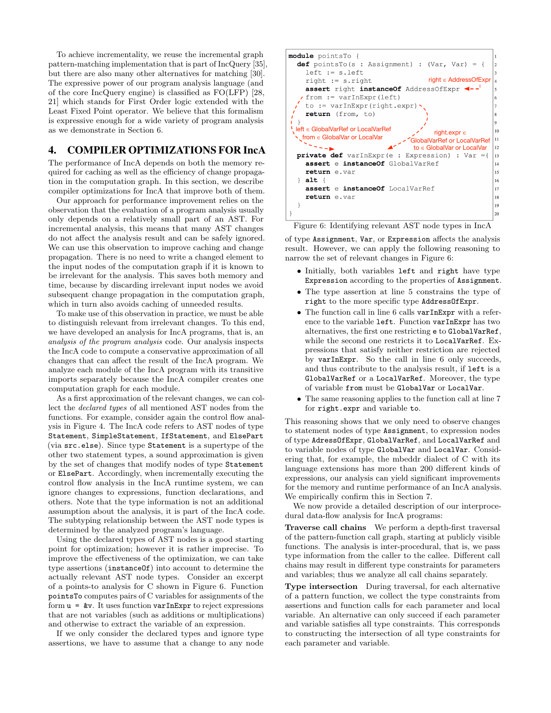To achieve incrementality, we reuse the incremental graph pattern-matching implementation that is part of IncQuery [\[35\]](#page-11-1), but there are also many other alternatives for matching [\[30\]](#page-11-0). The expressive power of our program analysis language (and of the core IncQuery engine) is classified as FO(LFP) [\[28,](#page-11-5) [21\]](#page-10-8) which stands for First Order logic extended with the Least Fixed Point operator. We believe that this formalism is expressive enough for a wide variety of program analysis as we demonstrate in [Section 6.](#page-5-1)

## <span id="page-4-0"></span>4. COMPILER OPTIMIZATIONS FOR IncA

The performance of IncA depends on both the memory required for caching as well as the efficiency of change propagation in the computation graph. In this section, we describe compiler optimizations for IncA that improve both of them.

Our approach for performance improvement relies on the observation that the evaluation of a program analysis usually only depends on a relatively small part of an AST. For incremental analysis, this means that many AST changes do not affect the analysis result and can be safely ignored. We can use this observation to improve caching and change propagation. There is no need to write a changed element to the input nodes of the computation graph if it is known to be irrelevant for the analysis. This saves both memory and time, because by discarding irrelevant input nodes we avoid subsequent change propagation in the computation graph, which in turn also avoids caching of unneeded results.

To make use of this observation in practice, we must be able to distinguish relevant from irrelevant changes. To this end, we have developed an analysis for IncA programs, that is, an analysis of the program analysis code. Our analysis inspects the IncA code to compute a conservative approximation of all changes that can affect the result of the IncA program. We analyze each module of the IncA program with its transitive imports separately because the IncA compiler creates one computation graph for each module.

As a first approximation of the relevant changes, we can collect the declared types of all mentioned AST nodes from the functions. For example, consider again the control flow analysis in [Figure 4.](#page-2-1) The IncA code refers to AST nodes of type Statement, SimpleStatement, IfStatement, and ElsePart (via src.else). Since type Statement is a supertype of the other two statement types, a sound approximation is given by the set of changes that modify nodes of type Statement or ElsePart. Accordingly, when incrementally executing the control flow analysis in the IncA runtime system, we can ignore changes to expressions, function declarations, and others. Note that the type information is not an additional assumption about the analysis, it is part of the IncA code. The subtyping relationship between the AST node types is determined by the analyzed program's language.

Using the declared types of AST nodes is a good starting point for optimization; however it is rather imprecise. To improve the effectiveness of the optimization, we can take type assertions (instanceOf) into account to determine the actually relevant AST node types. Consider an excerpt of a points-to analysis for C shown in [Figure 6.](#page-4-1) Function pointsTo computes pairs of C variables for assignments of the form  $u = \&v$ . It uses function varInExpr to reject expressions that are not variables (such as additions or multiplications) and otherwise to extract the variable of an expression.

If we only consider the declared types and ignore type assertions, we have to assume that a change to any node

<span id="page-4-1"></span>

| module pointsTo {                                                           | 1              |
|-----------------------------------------------------------------------------|----------------|
| <b>def</b> pointsTo(s : Assignment) : (Var, Var) = {                        | $\overline{2}$ |
| $left := s.left$                                                            | 3              |
| $right \in AddressOfExpr$<br>$right := s.right$                             | $\overline{a}$ |
| assert right instanceOf AddressOfExpr <--                                   | 5              |
| $\sqrt{r}$ from := varInExpr(left)                                          | 6              |
| to := $varInExpr(right.expr)$ .                                             | 7              |
| return (from, to)                                                           | $\mathbf{8}$   |
|                                                                             | 9              |
| $left \in GlobalVarRef$ or LocalVarRef<br>right.expr $\in$                  | 10             |
| $\setminus$ from $\in$ GlobalVar or LocalVar<br>GlobalVarRef or LocalVarRef | 11             |
| to $\in$ GlobalVar or LocalVar                                              | 12             |
| <b>private def</b> varInExpr(e : Expression) : Var ={                       | 13             |
| assert e instanceOf GlobalVarRef                                            | 14             |
| return e.var                                                                | 15             |
| $\}$ alt {                                                                  | 16             |
| assert e instanceOf LocalVarRef                                             | 17             |
| return e.var                                                                | 18             |
|                                                                             | 19             |
|                                                                             | 20             |

Figure 6: Identifying relevant AST node types in IncA

of type Assignment, Var, or Expression affects the analysis result. However, we can apply the following reasoning to narrow the set of relevant changes in [Figure 6:](#page-4-1)

- Initially, both variables left and right have type Expression according to the properties of Assignment.
- The type assertion at line 5 constrains the type of right to the more specific type AddressOfExpr.
- The function call in line 6 calls varInExpr with a reference to the variable left. Function varInExpr has two alternatives, the first one restricting e to GlobalVarRef, while the second one restricts it to LocalVarRef. Expressions that satisfy neither restriction are rejected by varInExpr. So the call in line 6 only succeeds, and thus contribute to the analysis result, if left is a GlobalVarRef or a LocalVarRef. Moreover, the type of variable from must be GlobalVar or LocalVar.
- The same reasoning applies to the function call at line 7 for right.expr and variable to.

This reasoning shows that we only need to observe changes to statement nodes of type Assignment, to expression nodes of type AdressOfExpr, GlobalVarRef, and LocalVarRef and to variable nodes of type GlobalVar and LocalVar. Considering that, for example, the mbeddr dialect of C with its language extensions has more than 200 different kinds of expressions, our analysis can yield significant improvements for the memory and runtime performance of an IncA analysis. We empirically confirm this in [Section 7.](#page-7-0)

We now provide a detailed description of our interprocedural data-flow analysis for IncA programs:

Traverse call chains We perform a depth-first traversal of the pattern-function call graph, starting at publicly visible functions. The analysis is inter-procedural, that is, we pass type information from the caller to the callee. Different call chains may result in different type constraints for parameters and variables; thus we analyze all call chains separately.

Type intersection During traversal, for each alternative of a pattern function, we collect the type constraints from assertions and function calls for each parameter and local variable. An alternative can only succeed if each parameter and variable satisfies all type constraints. This corresponds to constructing the intersection of all type constraints for each parameter and variable.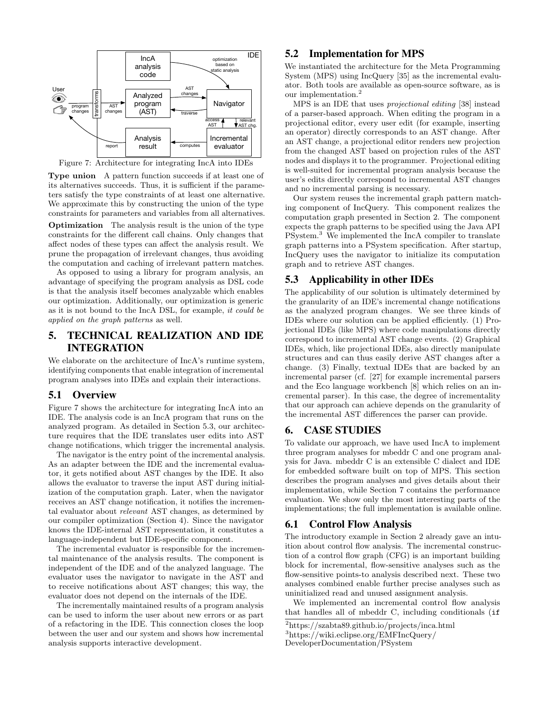<span id="page-5-2"></span>

Figure 7: Architecture for integrating IncA into IDEs

Type union A pattern function succeeds if at least one of its alternatives succeeds. Thus, it is sufficient if the parameters satisfy the type constraints of at least one alternative. We approximate this by constructing the union of the type constraints for parameters and variables from all alternatives.

Optimization The analysis result is the union of the type constraints for the different call chains. Only changes that affect nodes of these types can affect the analysis result. We prune the propagation of irrelevant changes, thus avoiding the computation and caching of irrelevant pattern matches.

As opposed to using a library for program analysis, an advantage of specifying the program analysis as DSL code is that the analysis itself becomes analyzable which enables our optimization. Additionally, our optimization is generic as it is not bound to the IncA DSL, for example, it could be applied on the graph patterns as well.

# <span id="page-5-0"></span>5. TECHNICAL REALIZATION AND IDE INTEGRATION

We elaborate on the architecture of IncA's runtime system, identifying components that enable integration of incremental program analyses into IDEs and explain their interactions.

#### 5.1 Overview

[Figure 7](#page-5-2) shows the architecture for integrating IncA into an IDE. The analysis code is an IncA program that runs on the analyzed program. As detailed in [Section 5.3,](#page-5-3) our architecture requires that the IDE translates user edits into AST change notifications, which trigger the incremental analysis.

The navigator is the entry point of the incremental analysis. As an adapter between the IDE and the incremental evaluator, it gets notified about AST changes by the IDE. It also allows the evaluator to traverse the input AST during initialization of the computation graph. Later, when the navigator receives an AST change notification, it notifies the incremental evaluator about relevant AST changes, as determined by our compiler optimization [\(Section 4\)](#page-4-0). Since the navigator knows the IDE-internal AST representation, it constitutes a language-independent but IDE-specific component.

The incremental evaluator is responsible for the incremental maintenance of the analysis results. The component is independent of the IDE and of the analyzed language. The evaluator uses the navigator to navigate in the AST and to receive notifications about AST changes; this way, the evaluator does not depend on the internals of the IDE.

The incrementally maintained results of a program analysis can be used to inform the user about new errors or as part of a refactoring in the IDE. This connection closes the loop between the user and our system and shows how incremental analysis supports interactive development.

#### 5.2 Implementation for MPS

We instantiated the architecture for the Meta Programming System (MPS) using IncQuery [\[35\]](#page-11-1) as the incremental evaluator. Both tools are available as open-source software, as is our implementation.[2](#page-5-4)

MPS is an IDE that uses projectional editing [\[38\]](#page-11-6) instead of a parser-based approach. When editing the program in a projectional editor, every user edit (for example, inserting an operator) directly corresponds to an AST change. After an AST change, a projectional editor renders new projection from the changed AST based on projection rules of the AST nodes and displays it to the programmer. Projectional editing is well-suited for incremental program analysis because the user's edits directly correspond to incremental AST changes and no incremental parsing is necessary.

Our system reuses the incremental graph pattern matching component of IncQuery. This component realizes the computation graph presented in [Section 2.](#page-1-2) The component expects the graph patterns to be specified using the Java API PSystem.[3](#page-5-5) We implemented the IncA compiler to translate graph patterns into a PSystem specification. After startup, IncQuery uses the navigator to initialize its computation graph and to retrieve AST changes.

#### <span id="page-5-3"></span>5.3 Applicability in other IDEs

The applicability of our solution is ultimately determined by the granularity of an IDE's incremental change notifications as the analyzed program changes. We see three kinds of IDEs where our solution can be applied efficiently. (1) Projectional IDEs (like MPS) where code manipulations directly correspond to incremental AST change events. (2) Graphical IDEs, which, like projectional IDEs, also directly manipulate structures and can thus easily derive AST changes after a change. (3) Finally, textual IDEs that are backed by an incremental parser (cf. [\[27\]](#page-11-7) for example incremental parsers and the Eco language workbench [\[8\]](#page-10-9) which relies on an incremental parser). In this case, the degree of incrementality that our approach can achieve depends on the granularity of the incremental AST differences the parser can provide.

# <span id="page-5-1"></span>6. CASE STUDIES

To validate our approach, we have used IncA to implement three program analyses for mbeddr C and one program analysis for Java. mbeddr C is an extensible C dialect and IDE for embedded software built on top of MPS. This section describes the program analyses and gives details about their implementation, while [Section 7](#page-7-0) contains the performance evaluation. We show only the most interesting parts of the implementations; the full implementation is available online.

#### 6.1 Control Flow Analysis

The introductory example in [Section 2](#page-1-2) already gave an intuition about control flow analysis. The incremental construction of a control flow graph (CFG) is an important building block for incremental, flow-sensitive analyses such as the flow-sensitive points-to analysis described next. These two analyses combined enable further precise analyses such as uninitialized read and unused assignment analysis.

We implemented an incremental control flow analysis that handles all of mbeddr C, including conditionals (if

<span id="page-5-5"></span><span id="page-5-4"></span><sup>2</sup><https://szabta89.github.io/projects/inca.html>

<sup>3</sup>[https://wiki.eclipse.org/EMFIncQuery/](https://wiki.eclipse.org/EMFIncQuery/DeveloperDocumentation/PSystem)

[DeveloperDocumentation/PSystem](https://wiki.eclipse.org/EMFIncQuery/DeveloperDocumentation/PSystem)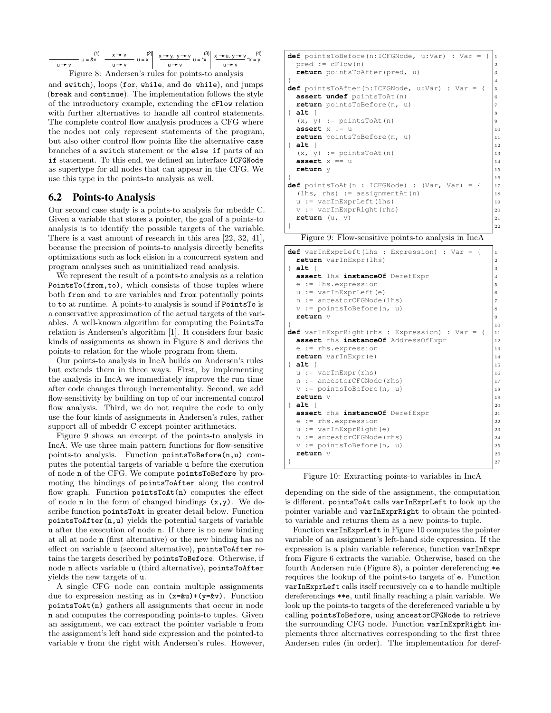<span id="page-6-0"></span>
$$
\frac{1}{u+v} u = \&v \left\{ \begin{array}{l} (1) \ x+v \ y \ x^2 \end{array} \right\} \xrightarrow[u+v]{x+v} u = x \left\{ \begin{array}{l} x \rightarrow y, y \rightarrow v \ y \rightarrow x \end{array} \right. = x \left\{ \begin{array}{l} (3) \ x \rightarrow u, y \rightarrow v \ y \rightarrow y \end{array} \right. \times (4) \xrightarrow[u \rightarrow v]{(5)}
$$
 Figure 8: Andersen's rules for points-to analysis

and switch), loops (for, while, and do while), and jumps (break and continue). The implementation follows the style of the introductory example, extending the cFlow relation with further alternatives to handle all control statements. The complete control flow analysis produces a CFG where the nodes not only represent statements of the program, but also other control flow points like the alternative case branches of a switch statement or the else if parts of an if statement. To this end, we defined an interface ICFGNode as supertype for all nodes that can appear in the CFG. We use this type in the points-to analysis as well.

## 6.2 Points-to Analysis

Our second case study is a points-to analysis for mbeddr C. Given a variable that stores a pointer, the goal of a points-to analysis is to identify the possible targets of the variable. There is a vast amount of research in this area [\[22,](#page-10-10) [32,](#page-11-8) [41\]](#page-11-9), because the precision of points-to analysis directly benefits optimizations such as lock elision in a concurrent system and program analyses such as uninitialized read analysis.

We represent the result of a points-to analysis as a relation PointsTo(from,to), which consists of those tuples where both from and to are variables and from potentially points to to at runtime. A points-to analysis is sound if PointsTo is a conservative approximation of the actual targets of the variables. A well-known algorithm for computing the PointsTo relation is Andersen's algorithm [\[1\]](#page-10-11). It considers four basic kinds of assignments as shown in [Figure 8](#page-6-0) and derives the points-to relation for the whole program from them.

Our points-to analysis in IncA builds on Andersen's rules but extends them in three ways. First, by implementing the analysis in IncA we immediately improve the run time after code changes through incrementality. Second, we add flow-sensitivity by building on top of our incremental control flow analysis. Third, we do not require the code to only use the four kinds of assignments in Andersen's rules, rather support all of mbeddr C except pointer arithmetics.

[Figure 9](#page-6-1) shows an excerpt of the points-to analysis in IncA. We use three main pattern functions for flow-sensitive points-to analysis. Function pointsToBefore(n,u) computes the potential targets of variable u before the execution of node n of the CFG. We compute pointsToBefore by promoting the bindings of pointsToAfter along the control flow graph. Function pointsToAt(n) computes the effect of node **n** in the form of changed bindings  $(x,y)$ . We describe function pointsToAt in greater detail below. Function pointsToAfter(n,u) yields the potential targets of variable u after the execution of node n. If there is no new binding at all at node n (first alternative) or the new binding has no effect on variable u (second alternative), pointsToAfter retains the targets described by pointsToBefore. Otherwise, if node n affects variable u (third alternative), pointsToAfter yields the new targets of u.

A single CFG node can contain multiple assignments due to expression nesting as in  $(x=xu)+(y=xv)$ . Function pointsToAt(n) gathers all assignments that occur in node n and computes the corresponding points-to tuples. Given an assignment, we can extract the pointer variable u from the assignment's left hand side expression and the pointed-to variable v from the right with Andersen's rules. However,

<span id="page-6-1"></span>

| <b>def</b> pointsToBefore(n:ICFGNode, u:Var) : Var = { | 1              |
|--------------------------------------------------------|----------------|
| $pred := cFlow(n)$                                     | $\overline{2}$ |
| return pointsToAfter(pred, u)                          | 3              |
|                                                        | $\overline{4}$ |
| <b>def</b> pointsToAfter(n:ICFGNode, u:Var) : Var = {  | 5              |
| <b>assert undef</b> pointsToAt (n)                     | 6              |
| return pointsToBefore (n, u)                           | $\overline{7}$ |
| $\}$ alt {                                             | 8              |
| $(x, y) :=$ pointsToAt(n)                              | 9              |
| <b>assert</b> $x := u$                                 | 1 <sub>0</sub> |
| return pointsToBefore (n, u)                           | 11             |
| $\}$ alt {                                             | 12             |
| $(x, y) :=$ points To At $(n)$                         | 13             |
| $\texttt{assert} \times == \mathbf{u}$                 | 14             |
| return y                                               | 15             |
|                                                        | 16             |
| <b>def</b> pointsToAt(n : ICFGNode) : $(Var, Var) = {$ | 17             |
| $(hs, rhs) := assignmentAt(n)$                         | 18             |
| $u := varInExprLeft(1hs)$                              | 19             |
| $v := varInExprRight(rhs)$                             | 20             |
| return $(u, v)$                                        | 21             |
|                                                        | 22             |
|                                                        |                |

Figure 9: Flow-sensitive points-to analysis in IncA

<span id="page-6-2"></span>

|               | <b>def</b> varInExprLeft(lhs : Expression) : Var = {  | $\mathbf{1}$   |
|---------------|-------------------------------------------------------|----------------|
|               | return varInExpr(lhs)                                 | $\overline{2}$ |
|               | $\}$ alt {                                            | 3              |
|               | assert lhs instanceOf DerefExpr                       | 4              |
|               | $e :=$ lhs.expression                                 | 5              |
|               | $u := varInExploreLeft(e)$                            | 6              |
|               | $n :=$ ancestorCFGNode(lhs)                           | $\overline{7}$ |
|               | $v := pointsToBefore(n, u)$                           | 8              |
|               | return v                                              | 9              |
| $\mathcal{E}$ |                                                       | 10             |
|               | <b>def</b> varInExprRight(rhs : Expression) : Var = { | 11             |
|               | assert rhs instanceOf AddressOfExpr                   | 12             |
|               | $e :=$ rhs.expression                                 | 13             |
|               | return varInExpr(e)                                   | 14             |
|               | $\}$ alt {                                            | 15             |
|               | $u := varInExpr(rhs)$                                 | 16             |
|               | $n :=$ ancestorCFGNode (rhs)                          | 17             |
|               | $v :=$ pointsToBefore(n, u)                           | 18             |
|               | return v                                              | 19             |
|               | $\{$ alt $\{$                                         | 20             |
|               | assert rhs instanceOf DerefExpr                       | 21             |
|               | $e :=$ rhs.expression                                 | 22             |
|               | $u := varInExprRight(e)$                              | 23             |
|               | $n :=$ ancestorCFGNode (rhs)                          | 24             |
|               | $v := pointsToBefore(n, u)$                           | 25             |
|               | return v                                              | 26             |
| ł             |                                                       | 27             |

Figure 10: Extracting points-to variables in IncA

depending on the side of the assignment, the computation is different. pointsToAt calls varInExprLeft to look up the pointer variable and varInExprRight to obtain the pointedto variable and returns them as a new points-to tuple.

Function varInExprLeft in [Figure 10](#page-6-2) computes the pointer variable of an assignment's left-hand side expression. If the expression is a plain variable reference, function varInExpr from [Figure 6](#page-4-1) extracts the variable. Otherwise, based on the fourth Andersen rule [\(Figure 8\)](#page-6-0), a pointer dereferencing \*e requires the lookup of the points-to targets of e. Function varInExprLeft calls itself recursively on e to handle multiple dereferencings \*\*e, until finally reaching a plain variable. We look up the points-to targets of the dereferenced variable u by calling pointsToBefore, using ancestorCFGNode to retrieve the surrounding CFG node. Function varInExprRight implements three alternatives corresponding to the first three Andersen rules (in order). The implementation for deref-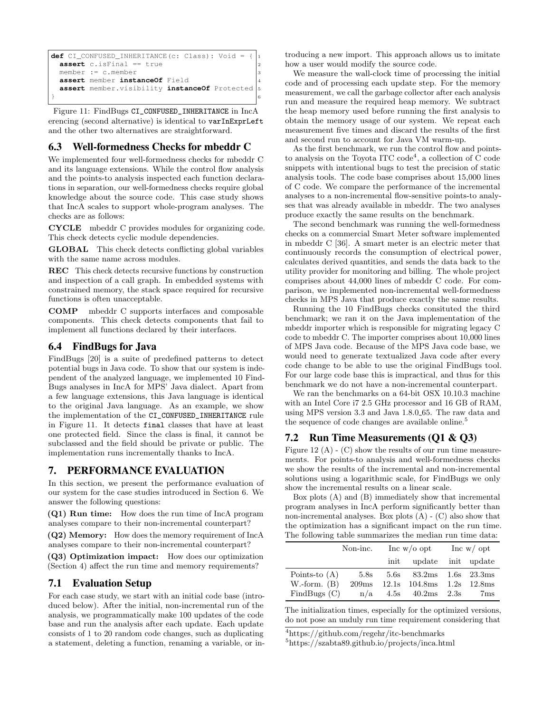```
def CI_CONFUSED_INHERITANCE(c: Class): Void
 assert c.isFinal == true
 member := c.member
 assert member instanceOf Field 4
 assert member.visibility instanceOf Protected 5
} 6
```
Figure 11: FindBugs CI\_CONFUSED\_INHERITANCE in IncA erencing (second alternative) is identical to varInExprLeft and the other two alternatives are straightforward.

# 6.3 Well-formedness Checks for mbeddr C

We implemented four well-formedness checks for mbeddr C and its language extensions. While the control flow analysis and the points-to analysis inspected each function declarations in separation, our well-formedness checks require global knowledge about the source code. This case study shows that IncA scales to support whole-program analyses. The checks are as follows:

CYCLE mbeddr C provides modules for organizing code. This check detects cyclic module dependencies.

GLOBAL This check detects conflicting global variables with the same name across modules.

REC This check detects recursive functions by construction and inspection of a call graph. In embedded systems with constrained memory, the stack space required for recursive functions is often unacceptable.

COMP mbeddr C supports interfaces and composable components. This check detects components that fail to implement all functions declared by their interfaces.

## 6.4 FindBugs for Java

FindBugs [\[20\]](#page-10-1) is a suite of predefined patterns to detect potential bugs in Java code. To show that our system is independent of the analyzed language, we implemented 10 Find-Bugs analyses in IncA for MPS' Java dialect. Apart from a few language extensions, this Java language is identical to the original Java language. As an example, we show the implementation of the CI\_CONFUSED\_INHERITANCE rule in [Figure 11.](#page-7-1) It detects final classes that have at least one protected field. Since the class is final, it cannot be subclassed and the field should be private or public. The implementation runs incrementally thanks to IncA.

# <span id="page-7-0"></span>7. PERFORMANCE EVALUATION

In this section, we present the performance evaluation of our system for the case studies introduced in [Section 6.](#page-5-1) We answer the following questions:

(Q1) Run time: How does the run time of IncA program analyses compare to their non-incremental counterpart?

(Q2) Memory: How does the memory requirement of IncA analyses compare to their non-incremental counterpart?

(Q3) Optimization impact: How does our optimization [\(Section 4\)](#page-4-0) affect the run time and memory requirements?

## 7.1 Evaluation Setup

For each case study, we start with an initial code base (introduced below). After the initial, non-incremental run of the analysis, we programmatically make 100 updates of the code base and run the analysis after each update. Each update consists of 1 to 20 random code changes, such as duplicating a statement, deleting a function, renaming a variable, or introducing a new import. This approach allows us to imitate how a user would modify the source code.

We measure the wall-clock time of processing the initial code and of processing each update step. For the memory measurement, we call the garbage collector after each analysis run and measure the required heap memory. We subtract the heap memory used before running the first analysis to obtain the memory usage of our system. We repeat each measurement five times and discard the results of the first and second run to account for Java VM warm-up.

As the first benchmark, we run the control flow and pointsto analysis on the Toyota ITC  $\text{code}^4$  $\text{code}^4$ , a collection of C code snippets with intentional bugs to test the precision of static analysis tools. The code base comprises about 15,000 lines of C code. We compare the performance of the incremental analyses to a non-incremental flow-sensitive points-to analyses that was already available in mbeddr. The two analyses produce exactly the same results on the benchmark.

The second benchmark was running the well-formedness checks on a commercial Smart Meter software implemented in mbeddr C [\[36\]](#page-11-10). A smart meter is an electric meter that continuously records the consumption of electrical power, calculates derived quantities, and sends the data back to the utility provider for monitoring and billing. The whole project comprises about 44,000 lines of mbeddr C code. For comparison, we implemented non-incremental well-formedness checks in MPS Java that produce exactly the same results.

Running the 10 FindBugs checks consituted the third benchmark; we ran it on the Java implementation of the mbeddr importer which is responsible for migrating legacy C code to mbeddr C. The importer comprises about 10,000 lines of MPS Java code. Because of the MPS Java code base, we would need to generate textualized Java code after every code change to be able to use the original FindBugs tool. For our large code base this is impractical, and thus for this benchmark we do not have a non-incremental counterpart.

We ran the benchmarks on a 64-bit OSX 10.10.3 machine with an Intel Core i7 2.5 GHz processor and 16 GB of RAM, using MPS version 3.3 and Java 1.8.0 65. The raw data and the sequence of code changes are available online.<sup>[5](#page-7-3)</sup>

# 7.2 Run Time Measurements (Q1 & Q3)

[Figure 12](#page-8-0)  $(A)$  -  $(C)$  show the results of our run time measurements. For points-to analysis and well-formedness checks we show the results of the incremental and non-incremental solutions using a logarithmic scale, for FindBugs we only show the incremental results on a linear scale.

Box plots (A) and (B) immediately show that incremental program analyses in IncA perform significantly better than non-incremental analyses. Box plots  $(A)$  -  $(C)$  also show that the optimization has a significant impact on the run time. The following table summarizes the median run time data:

|                   | Non-inc.          | Inc $w/o$ opt |                 | Inc $w/$ opt |                    |
|-------------------|-------------------|---------------|-----------------|--------------|--------------------|
|                   |                   | init          | update          |              | init update        |
| Points-to $(A)$   | 5.8s              | 5.6s          | 83.2ms          | 1.6s         | $23.3 \mathrm{ms}$ |
| $W\t{-form. (B)}$ | 209 <sub>ms</sub> | 12.1s         | 104.8ms         | 1.2s         | 12.8 <sub>ms</sub> |
| FindBugs $(C)$    | n/a               |               | $4.5s$ $40.2ms$ | 2.3s         | 7ms                |

The initialization times, especially for the optimized versions, do not pose an unduly run time requirement considering that

<span id="page-7-2"></span> $^4$ <https://github.com/regehr/itc-benchmarks>

<span id="page-7-3"></span><sup>5</sup><https://szabta89.github.io/projects/inca.html>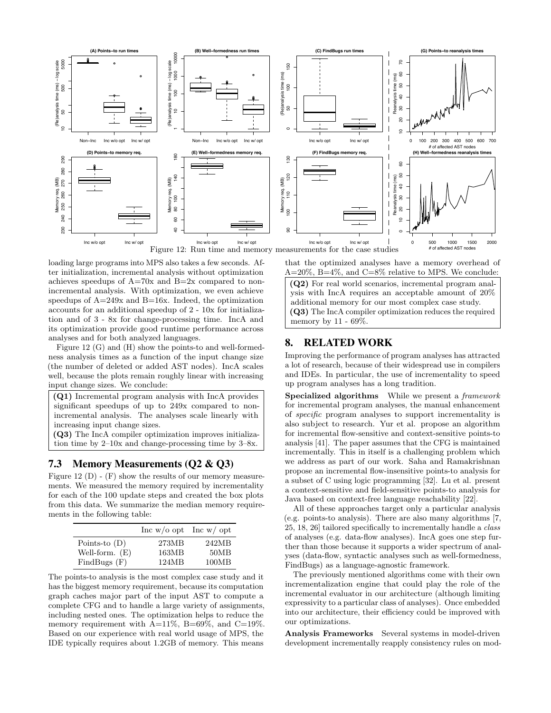<span id="page-8-0"></span>

loading large programs into MPS also takes a few seconds. After initialization, incremental analysis without optimization achieves speedups of  $A=70x$  and  $B=2x$  compared to nonincremental analysis. With optimization, we even achieve speedups of  $A=249x$  and  $B=16x$ . Indeed, the optimization accounts for an additional speedup of 2 - 10x for initialization and of 3 - 8x for change-processing time. IncA and its optimization provide good runtime performance across analyses and for both analyzed languages.

[Figure 12](#page-8-0) (G) and (H) show the points-to and well-formedness analysis times as a function of the input change size (the number of deleted or added AST nodes). IncA scales well, because the plots remain roughly linear with increasing input change sizes. We conclude:

(Q1) Incremental program analysis with IncA provides significant speedups of up to 249x compared to nonincremental analysis. The analyses scale linearly with increasing input change sizes.

(Q3) The IncA compiler optimization improves initialization time by 2–10x and change-processing time by 3–8x.

# 7.3 Memory Measurements (Q2 & Q3)

[Figure 12](#page-8-0)  $(D)$  -  $(F)$  show the results of our memory measurements. We measured the memory required by incrementality for each of the 100 update steps and created the box plots from this data. We summarize the median memory requirements in the following table:

|                  | Inc w/o opt Inc w/ opt |       |
|------------------|------------------------|-------|
| Points-to $(D)$  | 273MB                  | 242MB |
| Well-form. $(E)$ | 163MB                  | 50MB  |
| FindBugs(F)      | 124MB                  | 100MB |

The points-to analysis is the most complex case study and it has the biggest memory requirement, because its computation graph caches major part of the input AST to compute a complete CFG and to handle a large variety of assignments, including nested ones. The optimization helps to reduce the memory requirement with  $A=11\%$ ,  $B=69\%$ , and  $C=19\%$ . Based on our experience with real world usage of MPS, the IDE typically requires about 1.2GB of memory. This means

that the optimized analyses have a memory overhead of  $A=20\%$ ,  $B=4\%$ , and  $C=8\%$  relative to MPS. We conclude:

(Q2) For real world scenarios, incremental program analysis with IncA requires an acceptable amount of 20% additional memory for our most complex case study. (Q3) The IncA compiler optimization reduces the required memory by 11 - 69%.

## 8. RELATED WORK

Improving the performance of program analyses has attracted a lot of research, because of their widespread use in compilers and IDEs. In particular, the use of incrementality to speed up program analyses has a long tradition.

Specialized algorithms While we present a framework for incremental program analyses, the manual enhancement of specific program analyses to support incrementality is also subject to research. Yur et al. propose an algorithm for incremental flow-sensitive and context-sensitive points-to analysis [\[41\]](#page-11-9). The paper assumes that the CFG is maintained incrementally. This in itself is a challenging problem which we address as part of our work. Saha and Ramakrishnan propose an incremental flow-insensitive points-to analysis for a subset of C using logic programming [\[32\]](#page-11-8). Lu et al. present a context-sensitive and field-sensitive points-to analysis for Java based on context-free language reachability [\[22\]](#page-10-10).

All of these approaches target only a particular analysis (e.g. points-to analysis). There are also many algorithms [\[7,](#page-10-2) [25,](#page-10-3) [18,](#page-10-4) [26\]](#page-11-2) tailored specifically to incrementally handle a class of analyses (e.g. data-flow analyses). IncA goes one step further than those because it supports a wider spectrum of analyses (data-flow, syntactic analyses such as well-formedness, FindBugs) as a language-agnostic framework.

The previously mentioned algorithms come with their own incrementalization engine that could play the role of the incremental evaluator in our architecture (although limiting expressivity to a particular class of analyses). Once embedded into our architecture, their efficiency could be improved with our optimizations.

Analysis Frameworks Several systems in model-driven development incrementally reapply consistency rules on mod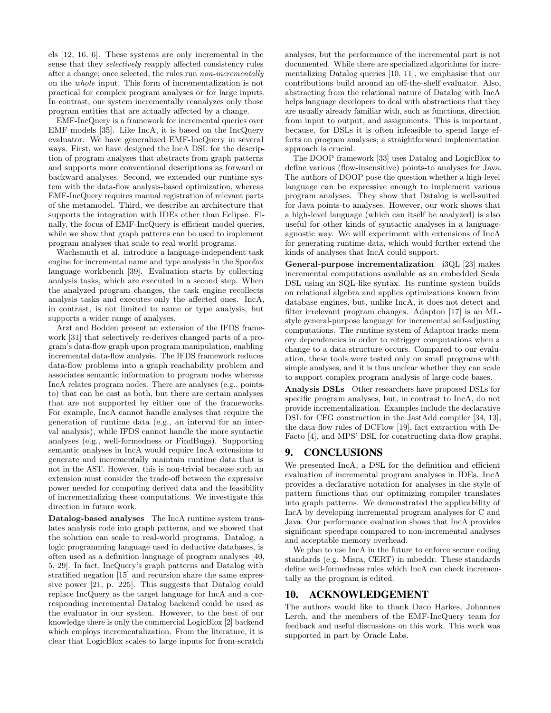els [\[12,](#page-10-12) [16,](#page-10-13) [6\]](#page-10-14). These systems are only incremental in the sense that they selectively reapply affected consistency rules after a change; once selected, the rules run non-incrementally on the whole input. This form of incrementalization is not practical for complex program analyses or for large inputs. In contrast, our system incrementally reanalyzes only those program entities that are actually affected by a change.

EMF-IncQuery is a framework for incremental queries over EMF models [\[35\]](#page-11-1). Like IncA, it is based on the IncQuery evaluator. We have generalized EMF-IncQuery in several ways. First, we have designed the IncA DSL for the description of program analyses that abstracts from graph patterns and supports more conventional descriptions as forward or backward analyses. Second, we extended our runtime system with the data-flow analysis-based optimization, whereas EMF-IncQuery requires manual registration of relevant parts of the metamodel. Third, we describe an architecture that supports the integration with IDEs other than Eclipse. Finally, the focus of EMF-IncQuery is efficient model queries, while we show that graph patterns can be used to implement program analyses that scale to real world programs.

Wachsmuth et al. introduce a language-independent task engine for incremental name and type analysis in the Spoofax language workbench [\[39\]](#page-11-3). Evaluation starts by collecting analysis tasks, which are executed in a second step. When the analyzed program changes, the task engine recollects analysis tasks and executes only the affected ones. IncA, in contrast, is not limited to name or type analysis, but supports a wider range of analyses.

Arzt and Bodden present an extension of the IFDS framework [\[31\]](#page-11-11) that selectively re-derives changed parts of a program's data-flow graph upon program manipulation, enabling incremental data-flow analysis. The IFDS framework reduces data-flow problems into a graph reachability problem and associates semantic information to program nodes whereas IncA relates program nodes. There are analyses (e.g., pointsto) that can be cast as both, but there are certain analyses that are not supported by either one of the frameworks. For example, IncA cannot handle analyses that require the generation of runtime data (e.g., an interval for an interval analysis), while IFDS cannot handle the more syntactic analyses (e.g., well-formedness or FindBugs). Supporting semantic analyses in IncA would require IncA extensions to generate and incrementally maintain runtime data that is not in the AST. However, this is non-trivial because such an extension must consider the trade-off between the expressive power needed for computing derived data and the feasibility of incrementalizing these computations. We investigate this direction in future work.

Datalog-based analyses The IncA runtime system translates analysis code into graph patterns, and we showed that the solution can scale to real-world programs. Datalog, a logic programming language used in deductive databases, is often used as a definition language of program analyses [\[40,](#page-11-12) [5,](#page-10-15) [29\]](#page-11-13). In fact, IncQuery's graph patterns and Datalog with stratified negation [\[15\]](#page-10-16) and recursion share the same expressive power [\[21,](#page-10-8) p. 225]. This suggests that Datalog could replace IncQuery as the target language for IncA and a corresponding incremental Datalog backend could be used as the evaluator in our system. However, to the best of our knowledge there is only the commercial LogicBlox [\[2\]](#page-10-17) backend which employs incrementalization. From the literature, it is clear that LogicBlox scales to large inputs for from-scratch

analyses, but the performance of the incremental part is not documented. While there are specialized algorithms for incrementalizing Datalog queries [\[10,](#page-10-18) [11\]](#page-10-19), we emphasise that our contributions build around an off-the-shelf evaluator. Also, abstracting from the relational nature of Datalog with IncA helps language developers to deal with abstractions that they are usually already familiar with, such as functions, direction from input to output, and assignments. This is important, because, for DSLs it is often infeasible to spend large efforts on program analyses; a straightforward implementation approach is crucial.

The DOOP framework [\[33\]](#page-11-14) uses Datalog and LogicBlox to define various (flow-insensitive) points-to analyses for Java. The authors of DOOP pose the question whether a high-level language can be expressive enough to implement various program analyses. They show that Datalog is well-suited for Java points-to analyses. However, our work shows that a high-level language (which can itself be analyzed) is also useful for other kinds of syntactic analyses in a languageagnostic way. We will experiment with extensions of IncA for generating runtime data, which would further extend the kinds of analyses that IncA could support.

General-purpose incrementalization i3QL [\[23\]](#page-10-20) makes incremental computations available as an embedded Scala DSL using an SQL-like syntax. Its runtime system builds on relational algebra and applies optimizations known from database engines, but, unlike IncA, it does not detect and filter irrelevant program changes. Adapton [\[17\]](#page-10-21) is an MLstyle general-purpose language for incremental self-adjusting computations. The runtime system of Adapton tracks memory dependencies in order to retrigger computations when a change to a data structure occurs. Compared to our evaluation, these tools were tested only on small programs with simple analyses, and it is thus unclear whether they can scale to support complex program analysis of large code bases.

Analysis DSLs Other researchers have proposed DSLs for specific program analyses, but, in contrast to IncA, do not provide incrementalization. Examples include the declarative DSL for CFG construction in the JastAdd compiler [\[34,](#page-11-15) [13\]](#page-10-22), the data-flow rules of DCFlow [\[19\]](#page-10-23), fact extraction with De-Facto [\[4\]](#page-10-24), and MPS' DSL for constructing data-flow graphs.

## 9. CONCLUSIONS

We presented IncA, a DSL for the definition and efficient evaluation of incremental program analyses in IDEs. IncA provides a declarative notation for analyses in the style of pattern functions that our optimizing compiler translates into graph patterns. We demonstrated the applicability of IncA by developing incremental program analyses for C and Java. Our performance evaluation shows that IncA provides significant speedups compared to non-incremental analyses and acceptable memory overhead.

We plan to use IncA in the future to enforce secure coding standards (e.g. Misra, CERT) in mbeddr. These standards define well-formedness rules which IncA can check incrementally as the program is edited.

## 10. ACKNOWLEDGEMENT

The authors would like to thank Daco Harkes, Johannes Lerch, and the members of the EMF-IncQuery team for feedback and useful discussions on this work. This work was supported in part by Oracle Labs.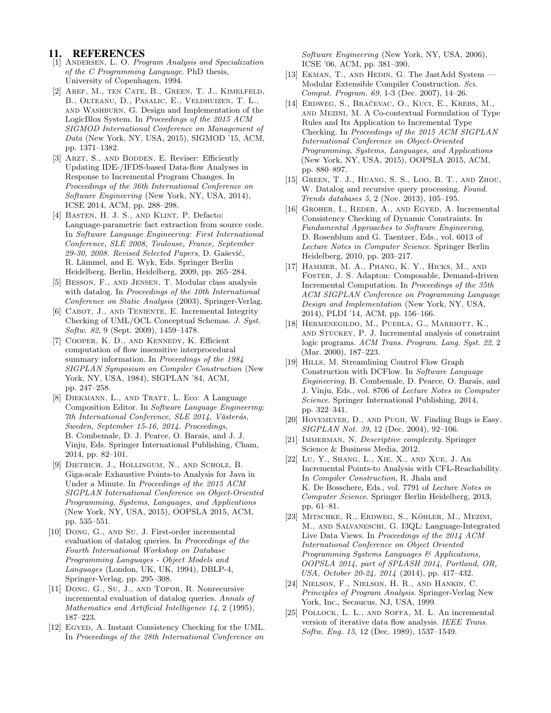# 11. REFERENCES

- <span id="page-10-11"></span>[1] Andersen, L. O. Program Analysis and Specialization of the C Programming Language. PhD thesis, University of Copenhagen, 1994.
- <span id="page-10-17"></span>[2] Aref, M., ten Cate, B., Green, T. J., Kimelfeld, B., Olteanu, D., Pasalic, E., Veldhuizen, T. L., and Washburn, G. Design and Implementation of the LogicBlox System. In Proceedings of the 2015 ACM SIGMOD International Conference on Management of Data (New York, NY, USA, 2015), SIGMOD '15, ACM, pp. 1371–1382.
- <span id="page-10-5"></span>[3] ARZT, S., AND BODDEN, E. Reviser: Efficiently Updating IDE-/IFDS-based Data-flow Analyses in Response to Incremental Program Changes. In Proceedings of the 36th International Conference on Software Engineering (New York, NY, USA, 2014), ICSE 2014, ACM, pp. 288–298.
- <span id="page-10-24"></span>[4] BASTEN, H. J. S., AND KLINT, P. Defacto: Language-parametric fact extraction from source code. In Software Language Engineering: First International Conference, SLE 2008, Toulouse, France, September 29-30, 2008. Revised Selected Papers, D. Gašević, R. Lämmel, and E. Wyk, Eds. Springer Berlin Heidelberg, Berlin, Heidelberg, 2009, pp. 265–284.
- <span id="page-10-15"></span>[5] Besson, F., and Jensen, T. Modular class analysis with datalog. In Proceedings of the 10th International Conference on Static Analysis (2003), Springer-Verlag.
- <span id="page-10-14"></span>[6] CABOT, J., AND TENIENTE, E. Incremental Integrity Checking of UML/OCL Conceptual Schemas. J. Syst. Softw. 82, 9 (Sept. 2009), 1459–1478.
- <span id="page-10-2"></span>[7] Cooper, K. D., and Kennedy, K. Efficient computation of flow insensitive interprocedural summary information. In Proceedings of the 1984 SIGPLAN Symposium on Compiler Construction (New York, NY, USA, 1984), SIGPLAN '84, ACM, pp. 247–258.
- <span id="page-10-9"></span>[8] DIEKMANN, L., AND TRATT, L. Eco: A Language Composition Editor. In Software Language Engineering: 7th International Conference, SLE 2014, Västerås, Sweden, September 15-16, 2014. Proceedings, B. Combemale, D. J. Pearce, O. Barais, and J. J. Vinju, Eds. Springer International Publishing, Cham, 2014, pp. 82–101.
- <span id="page-10-0"></span>[9] Dietrich, J., Hollingum, N., and Scholz, B. Giga-scale Exhaustive Points-to Analysis for Java in Under a Minute. In Proceedings of the 2015 ACM SIGPLAN International Conference on Object-Oriented Programming, Systems, Languages, and Applications (New York, NY, USA, 2015), OOPSLA 2015, ACM, pp. 535–551.
- <span id="page-10-18"></span>[10] Dong, G., and Su, J. First-order incremental evaluation of datalog queries. In Proceedings of the Fourth International Workshop on Database Programming Languages - Object Models and Languages (London, UK, UK, 1994), DBLP-4, Springer-Verlag, pp. 295–308.
- <span id="page-10-19"></span>[11] Dong, G., Su, J., and Topor, R. Nonrecursive incremental evaluation of datalog queries. Annals of Mathematics and Artificial Intelligence 14, 2 (1995), 187–223.
- <span id="page-10-12"></span>[12] EGYED, A. Instant Consistency Checking for the UML. In Proceedings of the 28th International Conference on

Software Engineering (New York, NY, USA, 2006), ICSE '06, ACM, pp. 381–390.

- <span id="page-10-22"></span>[13] EKMAN, T., AND HEDIN, G. The JastAdd System -Modular Extensible Compiler Construction. Sci. Comput. Program. 69, 1-3 (Dec. 2007), 14–26.
- <span id="page-10-6"></span>[14] ERDWEG, S., BRAČEVAC, O., KUCI, E., KREBS, M., and Mezini, M. A Co-contextual Formulation of Type Rules and Its Application to Incremental Type Checking. In Proceedings of the 2015 ACM SIGPLAN International Conference on Object-Oriented Programming, Systems, Languages, and Applications (New York, NY, USA, 2015), OOPSLA 2015, ACM, pp. 880–897.
- <span id="page-10-16"></span>[15] GREEN, T. J., HUANG, S. S., LOO, B. T., AND ZHOU, W. Datalog and recursive query processing. Found. Trends databases 5, 2 (Nov. 2013), 105–195.
- <span id="page-10-13"></span>[16] GROHER, I., REDER, A., AND EGYED, A. Incremental Consistency Checking of Dynamic Constraints. In Fundamental Approaches to Software Engineering, D. Rosenblum and G. Taentzer, Eds., vol. 6013 of Lecture Notes in Computer Science. Springer Berlin Heidelberg, 2010, pp. 203–217.
- <span id="page-10-21"></span>[17] Hammer, M. A., Phang, K. Y., Hicks, M., and Foster, J. S. Adapton: Composable, Demand-driven Incremental Computation. In Proceedings of the 35th ACM SIGPLAN Conference on Programming Language Design and Implementation (New York, NY, USA, 2014), PLDI '14, ACM, pp. 156–166.
- <span id="page-10-4"></span>[18] HERMENEGILDO, M., PUEBLA, G., MARRIOTT, K., and Stuckey, P. J. Incremental analysis of constraint logic programs. ACM Trans. Program. Lang. Syst. 22, 2 (Mar. 2000), 187–223.
- <span id="page-10-23"></span>[19] HILLS, M. Streamlining Control Flow Graph Construction with DCFlow. In Software Language Engineering, B. Combemale, D. Pearce, O. Barais, and J. Vinju, Eds., vol. 8706 of Lecture Notes in Computer Science. Springer International Publishing, 2014, pp. 322–341.
- <span id="page-10-1"></span>[20] Hovemeyer, D., and Pugh, W. Finding Bugs is Easy. SIGPLAN Not. 39, 12 (Dec. 2004), 92–106.
- <span id="page-10-8"></span>[21] IMMERMAN, N. Descriptive complexity. Springer Science & Business Media, 2012.
- <span id="page-10-10"></span>[22] Lu, Y., Shang, L., Xie, X., and Xue, J. An Incremental Points-to Analysis with CFL-Reachability. In Compiler Construction, R. Jhala and K. De Bosschere, Eds., vol. 7791 of Lecture Notes in Computer Science. Springer Berlin Heidelberg, 2013, pp. 61–81.
- <span id="page-10-20"></span>[23] MITSCHKE, R., ERDWEG, S., KÖHLER, M., MEZINI, M., and Salvaneschi, G. I3QL: Language-Integrated Live Data Views. In Proceedings of the 2014 ACM International Conference on Object Oriented Programming Systems Languages & Applications, OOPSLA 2014, part of SPLASH 2014, Portland, OR, USA, October 20-24, 2014 (2014), pp. 417–432.
- <span id="page-10-7"></span>[24] Nielson, F., Nielson, H. R., and Hankin, C. Principles of Program Analysis. Springer-Verlag New York, Inc., Secaucus, NJ, USA, 1999.
- <span id="page-10-3"></span>[25] POLLOCK, L. L., AND SOFFA, M. L. An incremental version of iterative data flow analysis. IEEE Trans. Softw. Eng. 15, 12 (Dec. 1989), 1537–1549.